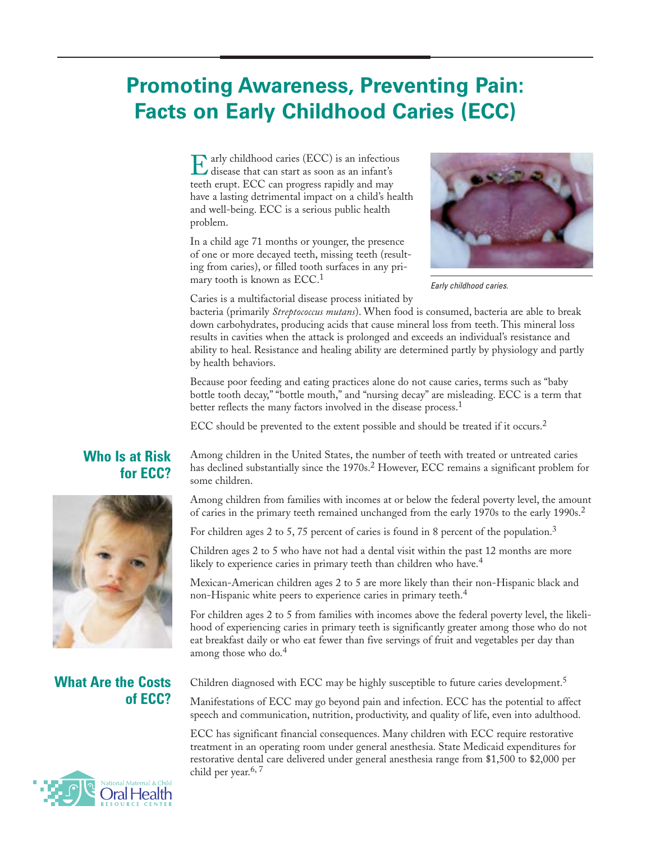# **Promoting Awareness, Preventing Pain: Facts on Early Childhood Caries (ECC)**

Early childhood caries (ECC) is an infectious disease that can start as soon as an infant's teeth erupt. ECC can progress rapidly and may have a lasting detrimental impact on a child's health and well-being. ECC is a serious public health problem.

In a child age 71 months or younger, the presence of one or more decayed teeth, missing teeth (resulting from caries), or filled tooth surfaces in any primary tooth is known as ECC.1



*Early childhood caries.*

Caries is a multifactorial disease process initiated by

bacteria (primarily *Streptococcus mutans*). When food is consumed, bacteria are able to break down carbohydrates, producing acids that cause mineral loss from teeth. This mineral loss results in cavities when the attack is prolonged and exceeds an individual's resistance and ability to heal. Resistance and healing ability are determined partly by physiology and partly by health behaviors.

Because poor feeding and eating practices alone do not cause caries, terms such as "baby bottle tooth decay," "bottle mouth," and "nursing decay" are misleading. ECC is a term that better reflects the many factors involved in the disease process.<sup>1</sup>

ECC should be prevented to the extent possible and should be treated if it occurs.<sup>2</sup>

### **Who Is at Risk for ECC?**



## **What Are the Costs of ECC?**



Among children in the United States, the number of teeth with treated or untreated caries has declined substantially since the 1970s.<sup>2</sup> However, ECC remains a significant problem for some children.

Among children from families with incomes at or below the federal poverty level, the amount of caries in the primary teeth remained unchanged from the early 1970s to the early 1990s.<sup>2</sup>

For children ages 2 to 5, 75 percent of caries is found in 8 percent of the population.<sup>3</sup>

Children ages 2 to 5 who have not had a dental visit within the past 12 months are more likely to experience caries in primary teeth than children who have.<sup>4</sup>

Mexican-American children ages 2 to 5 are more likely than their non-Hispanic black and non-Hispanic white peers to experience caries in primary teeth.4

For children ages 2 to 5 from families with incomes above the federal poverty level, the likelihood of experiencing caries in primary teeth is significantly greater among those who do not eat breakfast daily or who eat fewer than five servings of fruit and vegetables per day than among those who do.<sup>4</sup>

Children diagnosed with ECC may be highly susceptible to future caries development.<sup>5</sup>

Manifestations of ECC may go beyond pain and infection. ECC has the potential to affect speech and communication, nutrition, productivity, and quality of life, even into adulthood.

ECC has significant financial consequences. Many children with ECC require restorative treatment in an operating room under general anesthesia. State Medicaid expenditures for restorative dental care delivered under general anesthesia range from \$1,500 to \$2,000 per child per year. $6, 7$